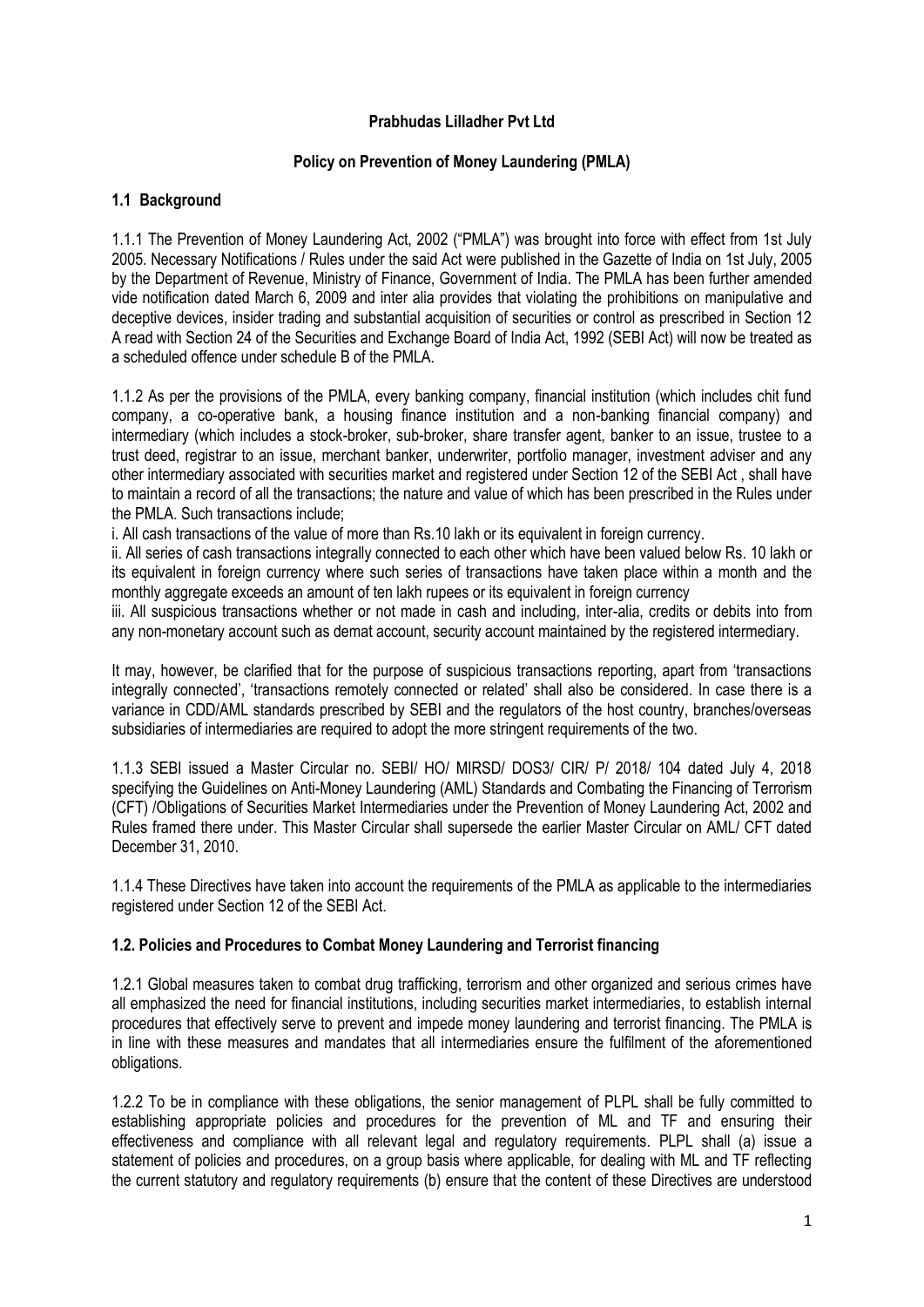## **Prabhudas Lilladher Pvt Ltd**

## **Policy on Prevention of Money Laundering (PMLA)**

## **1.1 Background**

1.1.1 The Prevention of Money Laundering Act, 2002 ("PMLA") was brought into force with effect from 1st July 2005. Necessary Notifications / Rules under the said Act were published in the Gazette of India on 1st July, 2005 by the Department of Revenue, Ministry of Finance, Government of India. The PMLA has been further amended vide notification dated March 6, 2009 and inter alia provides that violating the prohibitions on manipulative and deceptive devices, insider trading and substantial acquisition of securities or control as prescribed in Section 12 A read with Section 24 of the Securities and Exchange Board of India Act, 1992 (SEBI Act) will now be treated as a scheduled offence under schedule B of the PMLA.

1.1.2 As per the provisions of the PMLA, every banking company, financial institution (which includes chit fund company, a co-operative bank, a housing finance institution and a non-banking financial company) and intermediary (which includes a stock-broker, sub-broker, share transfer agent, banker to an issue, trustee to a trust deed, registrar to an issue, merchant banker, underwriter, portfolio manager, investment adviser and any other intermediary associated with securities market and registered under Section 12 of the SEBI Act , shall have to maintain a record of all the transactions; the nature and value of which has been prescribed in the Rules under the PMLA. Such transactions include;

i. All cash transactions of the value of more than Rs.10 lakh or its equivalent in foreign currency.

ii. All series of cash transactions integrally connected to each other which have been valued below Rs. 10 lakh or its equivalent in foreign currency where such series of transactions have taken place within a month and the monthly aggregate exceeds an amount of ten lakh rupees or its equivalent in foreign currency

iii. All suspicious transactions whether or not made in cash and including, inter-alia, credits or debits into from any non-monetary account such as demat account, security account maintained by the registered intermediary.

It may, however, be clarified that for the purpose of suspicious transactions reporting, apart from 'transactions integrally connected', 'transactions remotely connected or related' shall also be considered. In case there is a variance in CDD/AML standards prescribed by SEBI and the regulators of the host country, branches/overseas subsidiaries of intermediaries are required to adopt the more stringent requirements of the two.

1.1.3 SEBI issued a Master Circular no. SEBI/ HO/ MIRSD/ DOS3/ CIR/ P/ 2018/ 104 dated July 4, 2018 specifying the Guidelines on Anti-Money Laundering (AML) Standards and Combating the Financing of Terrorism (CFT) /Obligations of Securities Market Intermediaries under the Prevention of Money Laundering Act, 2002 and Rules framed there under. This Master Circular shall supersede the earlier Master Circular on AML/ CFT dated December 31, 2010.

1.1.4 These Directives have taken into account the requirements of the PMLA as applicable to the intermediaries registered under Section 12 of the SEBI Act.

# **1.2. Policies and Procedures to Combat Money Laundering and Terrorist financing**

1.2.1 Global measures taken to combat drug trafficking, terrorism and other organized and serious crimes have all emphasized the need for financial institutions, including securities market intermediaries, to establish internal procedures that effectively serve to prevent and impede money laundering and terrorist financing. The PMLA is in line with these measures and mandates that all intermediaries ensure the fulfilment of the aforementioned obligations.

1.2.2 To be in compliance with these obligations, the senior management of PLPL shall be fully committed to establishing appropriate policies and procedures for the prevention of ML and TF and ensuring their effectiveness and compliance with all relevant legal and regulatory requirements. PLPL shall (a) issue a statement of policies and procedures, on a group basis where applicable, for dealing with ML and TF reflecting the current statutory and regulatory requirements (b) ensure that the content of these Directives are understood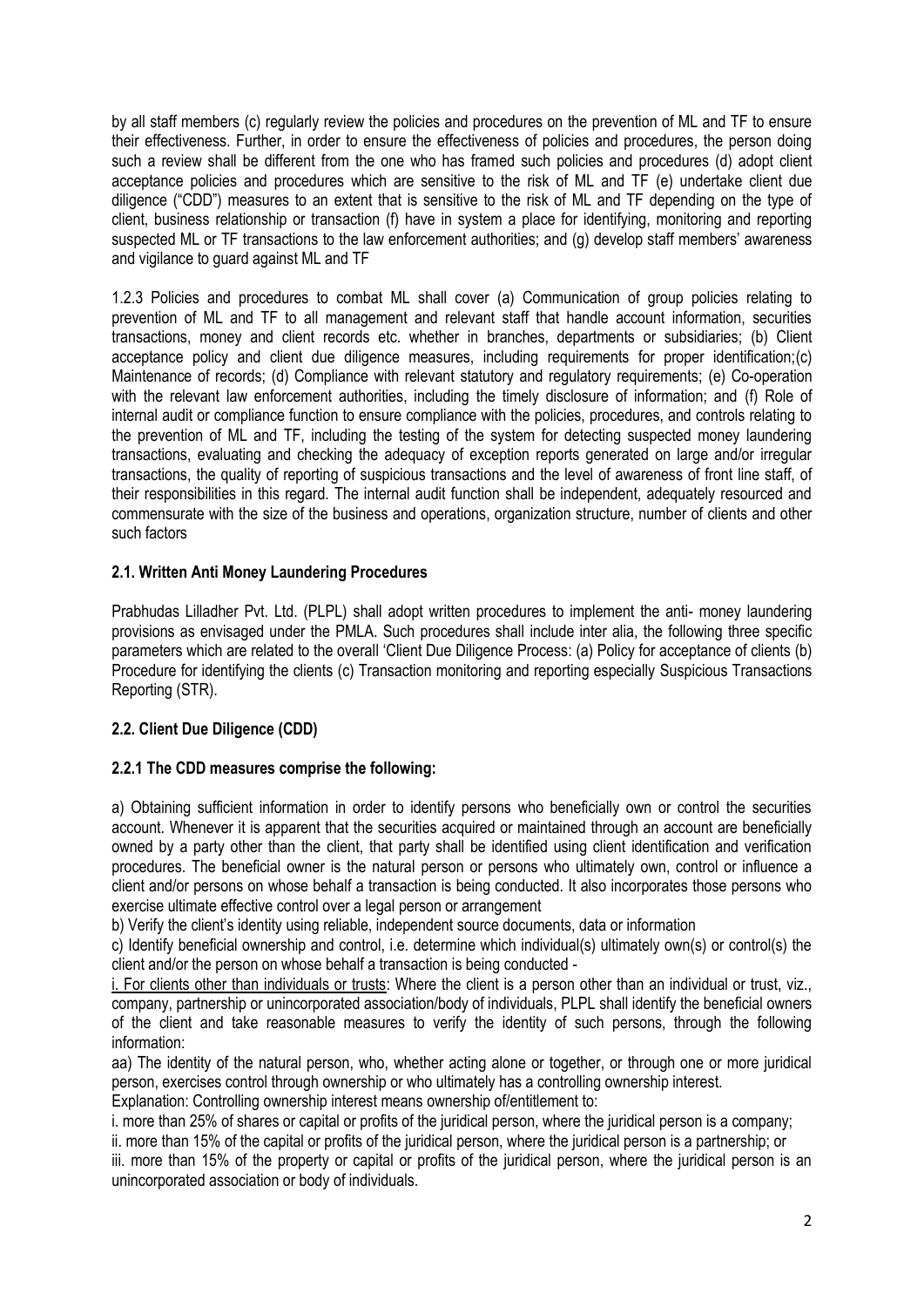by all staff members (c) regularly review the policies and procedures on the prevention of ML and TF to ensure their effectiveness. Further, in order to ensure the effectiveness of policies and procedures, the person doing such a review shall be different from the one who has framed such policies and procedures (d) adopt client acceptance policies and procedures which are sensitive to the risk of ML and TF (e) undertake client due diligence ("CDD") measures to an extent that is sensitive to the risk of ML and TF depending on the type of client, business relationship or transaction (f) have in system a place for identifying, monitoring and reporting suspected ML or TF transactions to the law enforcement authorities; and (g) develop staff members' awareness and vigilance to guard against ML and TF

1.2.3 Policies and procedures to combat ML shall cover (a) Communication of group policies relating to prevention of ML and TF to all management and relevant staff that handle account information, securities transactions, money and client records etc. whether in branches, departments or subsidiaries; (b) Client acceptance policy and client due diligence measures, including requirements for proper identification;(c) Maintenance of records; (d) Compliance with relevant statutory and regulatory requirements; (e) Co-operation with the relevant law enforcement authorities, including the timely disclosure of information; and (f) Role of internal audit or compliance function to ensure compliance with the policies, procedures, and controls relating to the prevention of ML and TF, including the testing of the system for detecting suspected money laundering transactions, evaluating and checking the adequacy of exception reports generated on large and/or irregular transactions, the quality of reporting of suspicious transactions and the level of awareness of front line staff, of their responsibilities in this regard. The internal audit function shall be independent, adequately resourced and commensurate with the size of the business and operations, organization structure, number of clients and other such factors

# **2.1. Written Anti Money Laundering Procedures**

Prabhudas Lilladher Pvt. Ltd. (PLPL) shall adopt written procedures to implement the anti- money laundering provisions as envisaged under the PMLA. Such procedures shall include inter alia, the following three specific parameters which are related to the overall 'Client Due Diligence Process: (a) Policy for acceptance of clients (b) Procedure for identifying the clients (c) Transaction monitoring and reporting especially Suspicious Transactions Reporting (STR).

# **2.2. Client Due Diligence (CDD)**

# **2.2.1 The CDD measures comprise the following:**

a) Obtaining sufficient information in order to identify persons who beneficially own or control the securities account. Whenever it is apparent that the securities acquired or maintained through an account are beneficially owned by a party other than the client, that party shall be identified using client identification and verification procedures. The beneficial owner is the natural person or persons who ultimately own, control or influence a client and/or persons on whose behalf a transaction is being conducted. It also incorporates those persons who exercise ultimate effective control over a legal person or arrangement

b) Verify the client's identity using reliable, independent source documents, data or information

c) Identify beneficial ownership and control, i.e. determine which individual(s) ultimately own(s) or control(s) the client and/or the person on whose behalf a transaction is being conducted -

i. For clients other than individuals or trusts: Where the client is a person other than an individual or trust, viz., company, partnership or unincorporated association/body of individuals, PLPL shall identify the beneficial owners of the client and take reasonable measures to verify the identity of such persons, through the following information:

aa) The identity of the natural person, who, whether acting alone or together, or through one or more juridical person, exercises control through ownership or who ultimately has a controlling ownership interest.

Explanation: Controlling ownership interest means ownership of/entitlement to:

i. more than 25% of shares or capital or profits of the juridical person, where the juridical person is a company;

ii. more than 15% of the capital or profits of the juridical person, where the juridical person is a partnership; or

iii. more than 15% of the property or capital or profits of the juridical person, where the juridical person is an unincorporated association or body of individuals.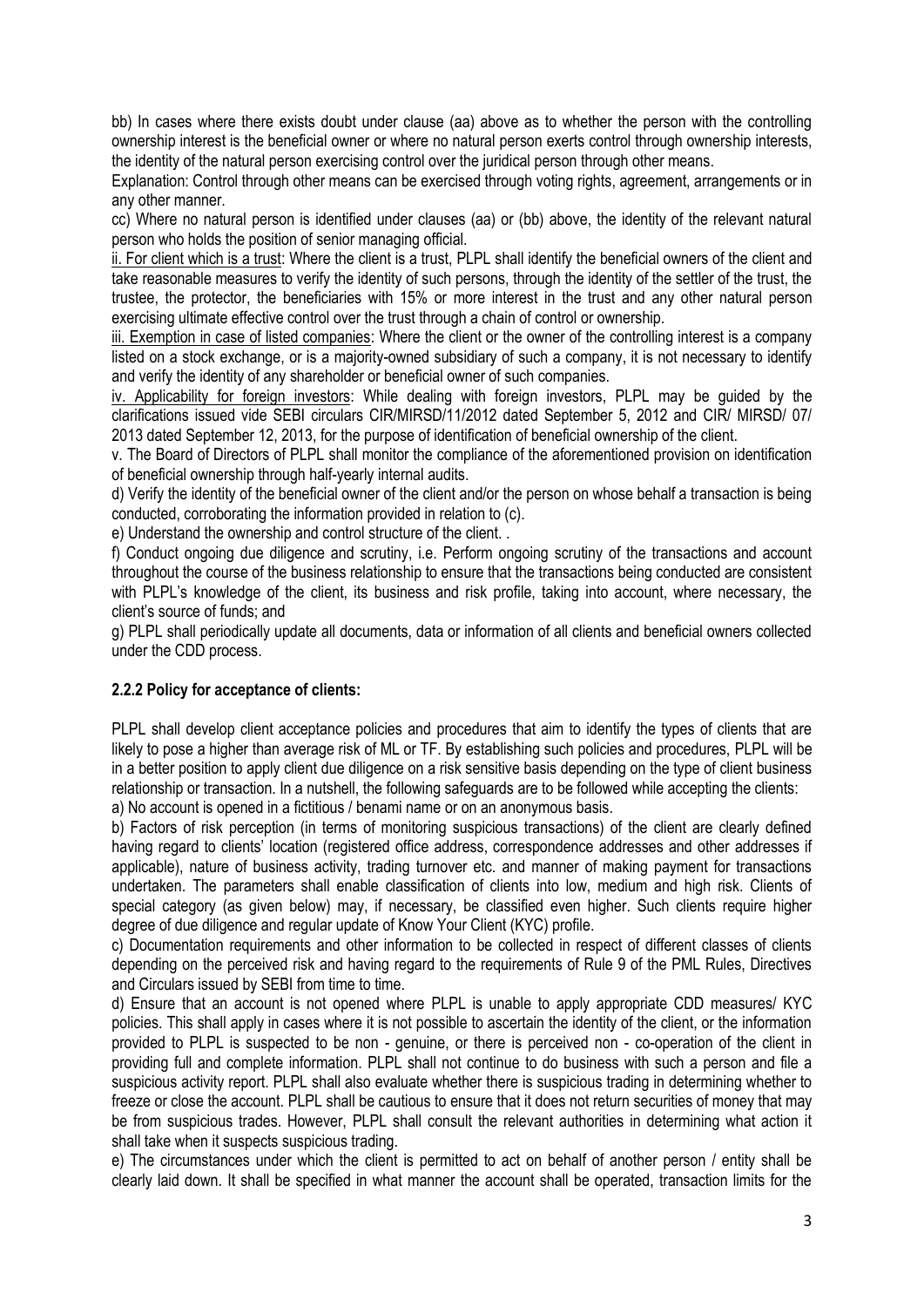bb) In cases where there exists doubt under clause (aa) above as to whether the person with the controlling ownership interest is the beneficial owner or where no natural person exerts control through ownership interests, the identity of the natural person exercising control over the juridical person through other means.

Explanation: Control through other means can be exercised through voting rights, agreement, arrangements or in any other manner.

cc) Where no natural person is identified under clauses (aa) or (bb) above, the identity of the relevant natural person who holds the position of senior managing official.

ii. For client which is a trust: Where the client is a trust, PLPL shall identify the beneficial owners of the client and take reasonable measures to verify the identity of such persons, through the identity of the settler of the trust, the trustee, the protector, the beneficiaries with 15% or more interest in the trust and any other natural person exercising ultimate effective control over the trust through a chain of control or ownership.

iii. Exemption in case of listed companies: Where the client or the owner of the controlling interest is a company listed on a stock exchange, or is a majority-owned subsidiary of such a company, it is not necessary to identify and verify the identity of any shareholder or beneficial owner of such companies.

iv. Applicability for foreign investors: While dealing with foreign investors, PLPL may be guided by the clarifications issued vide SEBI circulars CIR/MIRSD/11/2012 dated September 5, 2012 and CIR/ MIRSD/ 07/ 2013 dated September 12, 2013, for the purpose of identification of beneficial ownership of the client.

v. The Board of Directors of PLPL shall monitor the compliance of the aforementioned provision on identification of beneficial ownership through half-yearly internal audits.

d) Verify the identity of the beneficial owner of the client and/or the person on whose behalf a transaction is being conducted, corroborating the information provided in relation to (c).

e) Understand the ownership and control structure of the client. .

f) Conduct ongoing due diligence and scrutiny, i.e. Perform ongoing scrutiny of the transactions and account throughout the course of the business relationship to ensure that the transactions being conducted are consistent with PLPL's knowledge of the client, its business and risk profile, taking into account, where necessary, the client's source of funds; and

g) PLPL shall periodically update all documents, data or information of all clients and beneficial owners collected under the CDD process.

# **2.2.2 Policy for acceptance of clients:**

PLPL shall develop client acceptance policies and procedures that aim to identify the types of clients that are likely to pose a higher than average risk of ML or TF. By establishing such policies and procedures, PLPL will be in a better position to apply client due diligence on a risk sensitive basis depending on the type of client business relationship or transaction. In a nutshell, the following safeguards are to be followed while accepting the clients: a) No account is opened in a fictitious / benami name or on an anonymous basis.

b) Factors of risk perception (in terms of monitoring suspicious transactions) of the client are clearly defined having regard to clients' location (registered office address, correspondence addresses and other addresses if applicable), nature of business activity, trading turnover etc. and manner of making payment for transactions undertaken. The parameters shall enable classification of clients into low, medium and high risk. Clients of special category (as given below) may, if necessary, be classified even higher. Such clients require higher degree of due diligence and regular update of Know Your Client (KYC) profile.

c) Documentation requirements and other information to be collected in respect of different classes of clients depending on the perceived risk and having regard to the requirements of Rule 9 of the PML Rules, Directives and Circulars issued by SEBI from time to time.

d) Ensure that an account is not opened where PLPL is unable to apply appropriate CDD measures/ KYC policies. This shall apply in cases where it is not possible to ascertain the identity of the client, or the information provided to PLPL is suspected to be non - genuine, or there is perceived non - co-operation of the client in providing full and complete information. PLPL shall not continue to do business with such a person and file a suspicious activity report. PLPL shall also evaluate whether there is suspicious trading in determining whether to freeze or close the account. PLPL shall be cautious to ensure that it does not return securities of money that may be from suspicious trades. However, PLPL shall consult the relevant authorities in determining what action it shall take when it suspects suspicious trading.

e) The circumstances under which the client is permitted to act on behalf of another person / entity shall be clearly laid down. It shall be specified in what manner the account shall be operated, transaction limits for the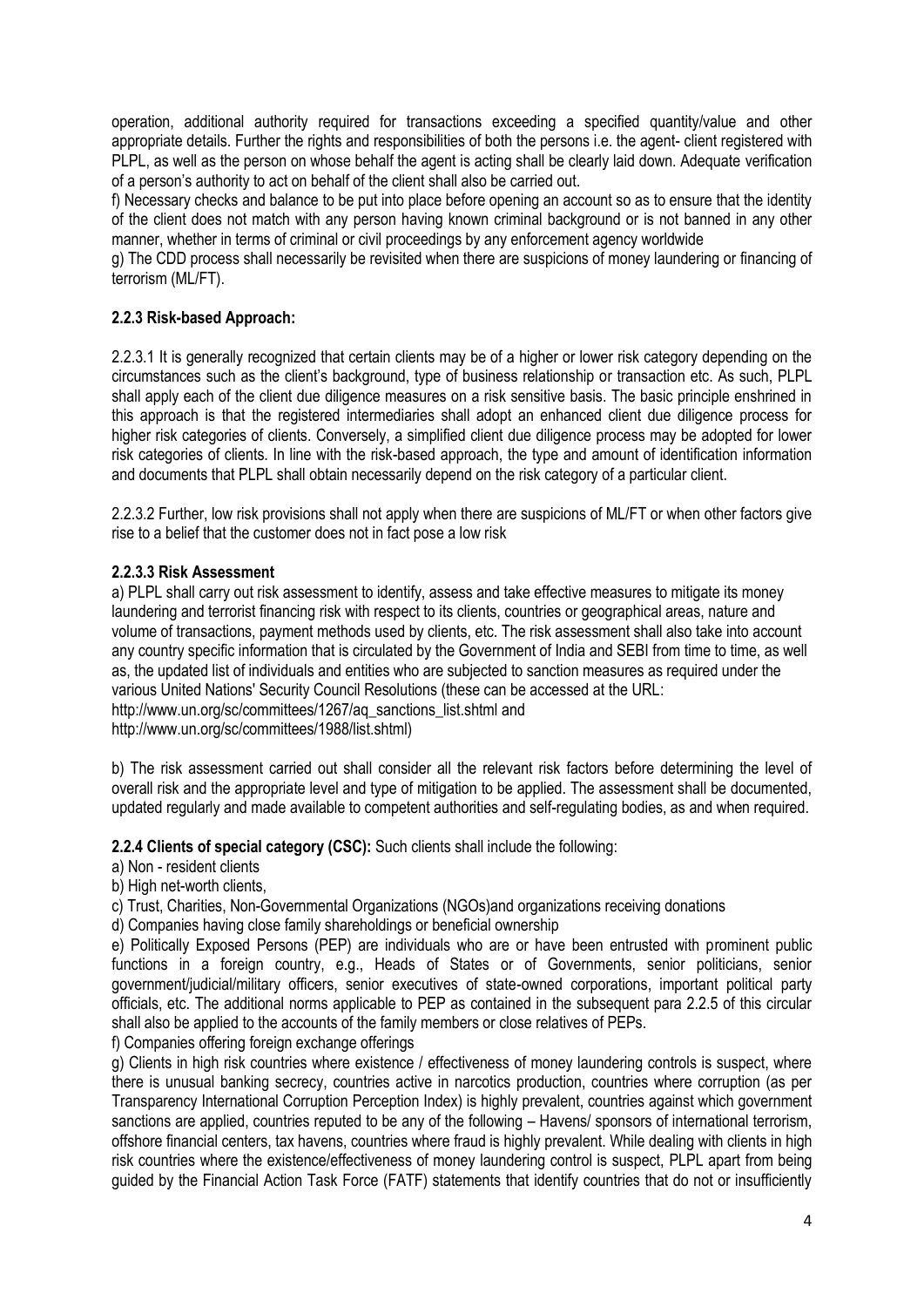operation, additional authority required for transactions exceeding a specified quantity/value and other appropriate details. Further the rights and responsibilities of both the persons i.e. the agent- client registered with PLPL, as well as the person on whose behalf the agent is acting shall be clearly laid down. Adequate verification of a person's authority to act on behalf of the client shall also be carried out.

f) Necessary checks and balance to be put into place before opening an account so as to ensure that the identity of the client does not match with any person having known criminal background or is not banned in any other manner, whether in terms of criminal or civil proceedings by any enforcement agency worldwide

g) The CDD process shall necessarily be revisited when there are suspicions of money laundering or financing of terrorism (ML/FT).

# **2.2.3 Risk-based Approach:**

2.2.3.1 It is generally recognized that certain clients may be of a higher or lower risk category depending on the circumstances such as the client's background, type of business relationship or transaction etc. As such, PLPL shall apply each of the client due diligence measures on a risk sensitive basis. The basic principle enshrined in this approach is that the registered intermediaries shall adopt an enhanced client due diligence process for higher risk categories of clients. Conversely, a simplified client due diligence process may be adopted for lower risk categories of clients. In line with the risk-based approach, the type and amount of identification information and documents that PLPL shall obtain necessarily depend on the risk category of a particular client.

2.2.3.2 Further, low risk provisions shall not apply when there are suspicions of ML/FT or when other factors give rise to a belief that the customer does not in fact pose a low risk

# **2.2.3.3 Risk Assessment**

a) PLPL shall carry out risk assessment to identify, assess and take effective measures to mitigate its money laundering and terrorist financing risk with respect to its clients, countries or geographical areas, nature and volume of transactions, payment methods used by clients, etc. The risk assessment shall also take into account any country specific information that is circulated by the Government of India and SEBI from time to time, as well as, the updated list of individuals and entities who are subjected to sanction measures as required under the various United Nations' Security Council Resolutions (these can be accessed at the URL: http://www.un.org/sc/committees/1267/ag\_sanctions\_list.shtml and http://www.un.org/sc/committees/1988/list.shtml)

b) The risk assessment carried out shall consider all the relevant risk factors before determining the level of overall risk and the appropriate level and type of mitigation to be applied. The assessment shall be documented, updated regularly and made available to competent authorities and self-regulating bodies, as and when required.

**2.2.4 Clients of special category (CSC):** Such clients shall include the following:

### a) Non - resident clients

b) High net-worth clients,

c) Trust, Charities, Non-Governmental Organizations (NGOs)and organizations receiving donations

d) Companies having close family shareholdings or beneficial ownership

e) Politically Exposed Persons (PEP) are individuals who are or have been entrusted with prominent public functions in a foreign country, e.g., Heads of States or of Governments, senior politicians, senior government/judicial/military officers, senior executives of state-owned corporations, important political party officials, etc. The additional norms applicable to PEP as contained in the subsequent para 2.2.5 of this circular shall also be applied to the accounts of the family members or close relatives of PEPs.

f) Companies offering foreign exchange offerings

g) Clients in high risk countries where existence / effectiveness of money laundering controls is suspect, where there is unusual banking secrecy, countries active in narcotics production, countries where corruption (as per Transparency International Corruption Perception Index) is highly prevalent, countries against which government sanctions are applied, countries reputed to be any of the following – Havens/ sponsors of international terrorism, offshore financial centers, tax havens, countries where fraud is highly prevalent. While dealing with clients in high risk countries where the existence/effectiveness of money laundering control is suspect, PLPL apart from being guided by the Financial Action Task Force (FATF) statements that identify countries that do not or insufficiently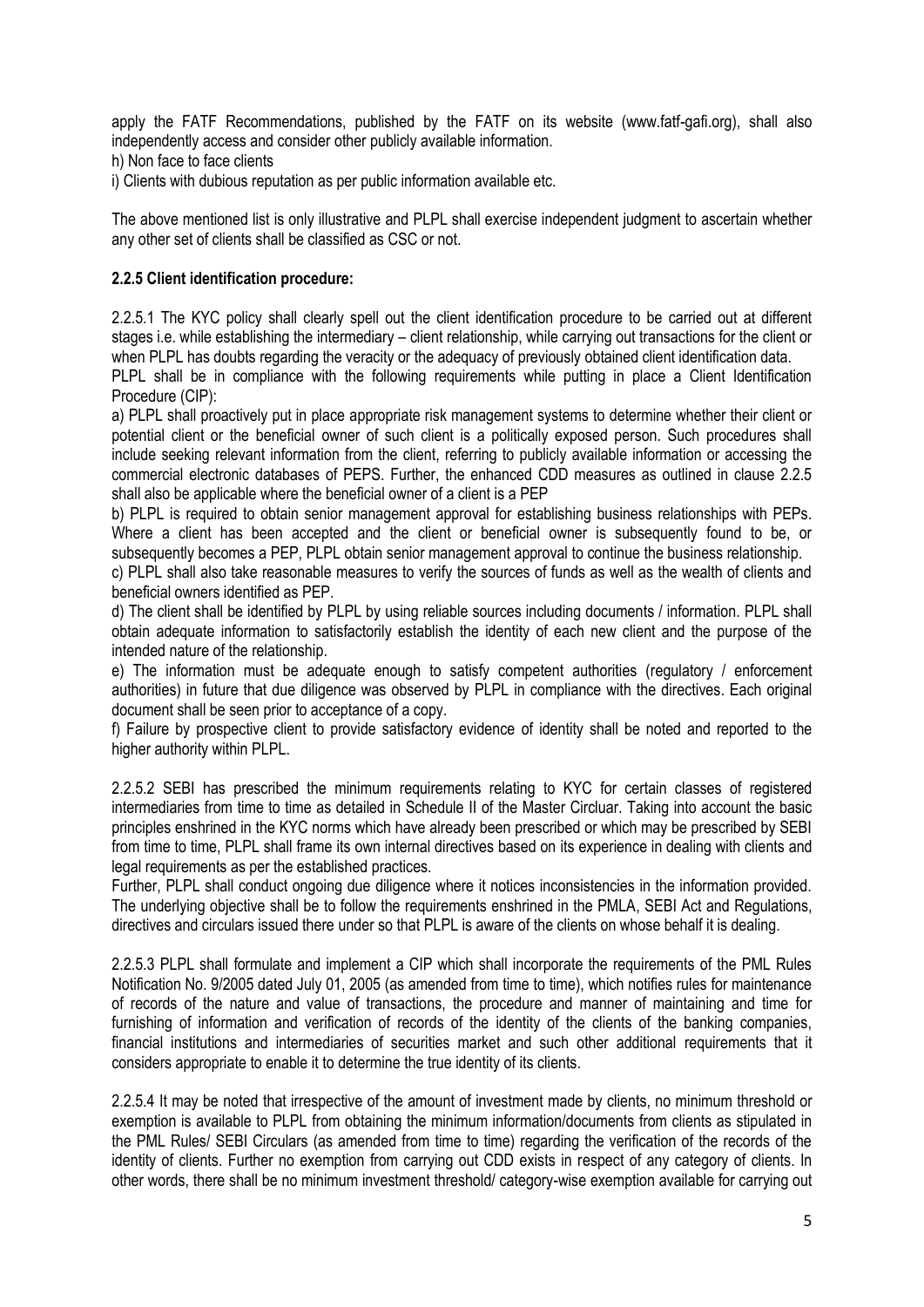apply the FATF Recommendations, published by the FATF on its website (www.fatf-gafi.org), shall also independently access and consider other publicly available information.

h) Non face to face clients

i) Clients with dubious reputation as per public information available etc.

The above mentioned list is only illustrative and PLPL shall exercise independent judgment to ascertain whether any other set of clients shall be classified as CSC or not.

# **2.2.5 Client identification procedure:**

2.2.5.1 The KYC policy shall clearly spell out the client identification procedure to be carried out at different stages i.e. while establishing the intermediary – client relationship, while carrying out transactions for the client or when PLPL has doubts regarding the veracity or the adequacy of previously obtained client identification data.

PLPL shall be in compliance with the following requirements while putting in place a Client Identification Procedure (CIP):

a) PLPL shall proactively put in place appropriate risk management systems to determine whether their client or potential client or the beneficial owner of such client is a politically exposed person. Such procedures shall include seeking relevant information from the client, referring to publicly available information or accessing the commercial electronic databases of PEPS. Further, the enhanced CDD measures as outlined in clause 2.2.5 shall also be applicable where the beneficial owner of a client is a PEP

b) PLPL is required to obtain senior management approval for establishing business relationships with PEPs. Where a client has been accepted and the client or beneficial owner is subsequently found to be, or subsequently becomes a PEP, PLPL obtain senior management approval to continue the business relationship.

c) PLPL shall also take reasonable measures to verify the sources of funds as well as the wealth of clients and beneficial owners identified as PEP.

d) The client shall be identified by PLPL by using reliable sources including documents / information. PLPL shall obtain adequate information to satisfactorily establish the identity of each new client and the purpose of the intended nature of the relationship.

e) The information must be adequate enough to satisfy competent authorities (regulatory / enforcement authorities) in future that due diligence was observed by PLPL in compliance with the directives. Each original document shall be seen prior to acceptance of a copy.

f) Failure by prospective client to provide satisfactory evidence of identity shall be noted and reported to the higher authority within PLPL.

2.2.5.2 SEBI has prescribed the minimum requirements relating to KYC for certain classes of registered intermediaries from time to time as detailed in Schedule II of the Master Circluar. Taking into account the basic principles enshrined in the KYC norms which have already been prescribed or which may be prescribed by SEBI from time to time, PLPL shall frame its own internal directives based on its experience in dealing with clients and legal requirements as per the established practices.

Further, PLPL shall conduct ongoing due diligence where it notices inconsistencies in the information provided. The underlying objective shall be to follow the requirements enshrined in the PMLA, SEBI Act and Regulations, directives and circulars issued there under so that PLPL is aware of the clients on whose behalf it is dealing.

2.2.5.3 PLPL shall formulate and implement a CIP which shall incorporate the requirements of the PML Rules Notification No. 9/2005 dated July 01, 2005 (as amended from time to time), which notifies rules for maintenance of records of the nature and value of transactions, the procedure and manner of maintaining and time for furnishing of information and verification of records of the identity of the clients of the banking companies, financial institutions and intermediaries of securities market and such other additional requirements that it considers appropriate to enable it to determine the true identity of its clients.

2.2.5.4 It may be noted that irrespective of the amount of investment made by clients, no minimum threshold or exemption is available to PLPL from obtaining the minimum information/documents from clients as stipulated in the PML Rules/ SEBI Circulars (as amended from time to time) regarding the verification of the records of the identity of clients. Further no exemption from carrying out CDD exists in respect of any category of clients. In other words, there shall be no minimum investment threshold/ category-wise exemption available for carrying out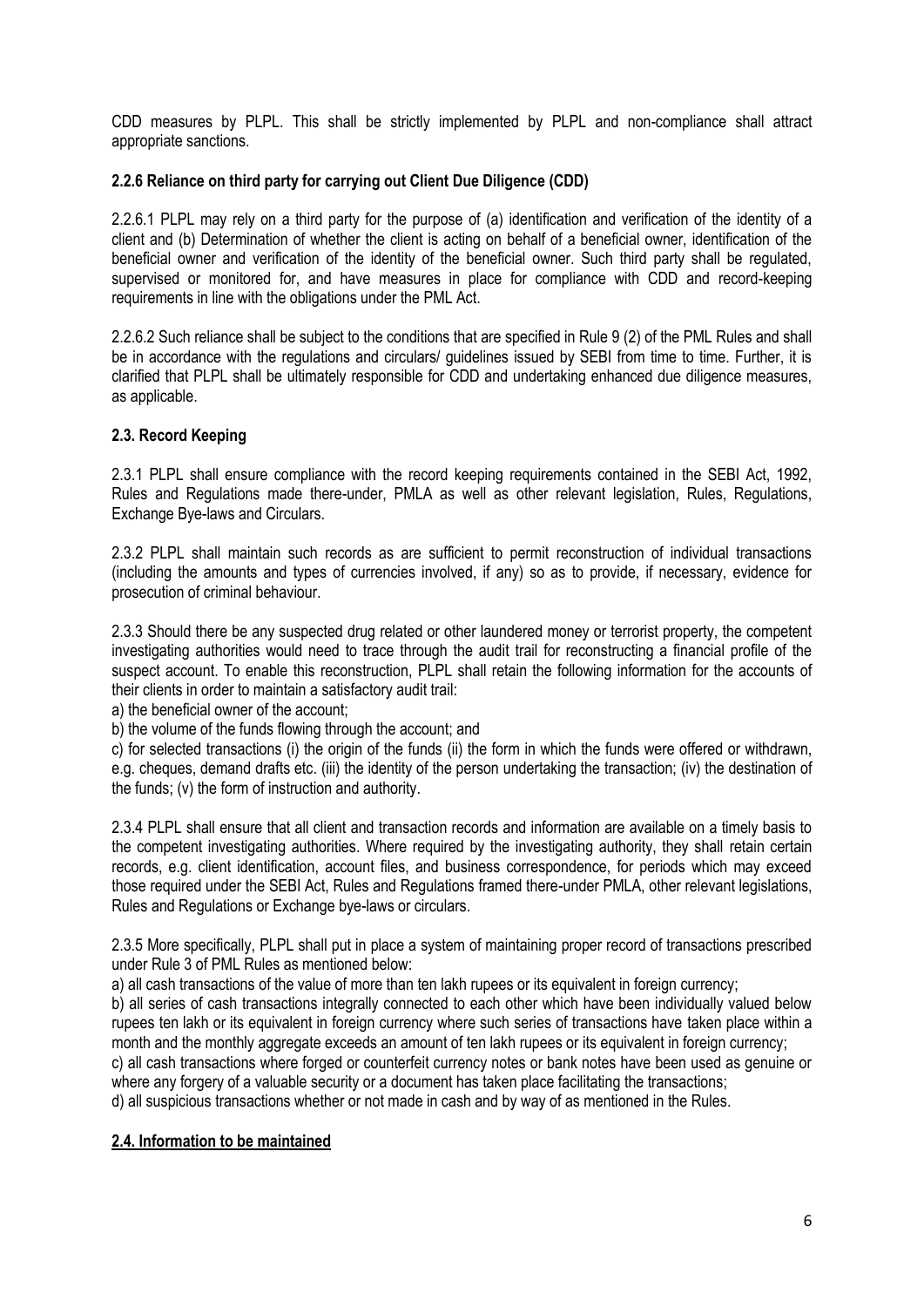CDD measures by PLPL. This shall be strictly implemented by PLPL and non-compliance shall attract appropriate sanctions.

## **2.2.6 Reliance on third party for carrying out Client Due Diligence (CDD)**

2.2.6.1 PLPL may rely on a third party for the purpose of (a) identification and verification of the identity of a client and (b) Determination of whether the client is acting on behalf of a beneficial owner, identification of the beneficial owner and verification of the identity of the beneficial owner. Such third party shall be regulated, supervised or monitored for, and have measures in place for compliance with CDD and record-keeping requirements in line with the obligations under the PML Act.

2.2.6.2 Such reliance shall be subject to the conditions that are specified in Rule 9 (2) of the PML Rules and shall be in accordance with the regulations and circulars/ guidelines issued by SEBI from time to time. Further, it is clarified that PLPL shall be ultimately responsible for CDD and undertaking enhanced due diligence measures, as applicable.

## **2.3. Record Keeping**

2.3.1 PLPL shall ensure compliance with the record keeping requirements contained in the SEBI Act, 1992, Rules and Regulations made there-under, PMLA as well as other relevant legislation, Rules, Regulations, Exchange Bye-laws and Circulars.

2.3.2 PLPL shall maintain such records as are sufficient to permit reconstruction of individual transactions (including the amounts and types of currencies involved, if any) so as to provide, if necessary, evidence for prosecution of criminal behaviour.

2.3.3 Should there be any suspected drug related or other laundered money or terrorist property, the competent investigating authorities would need to trace through the audit trail for reconstructing a financial profile of the suspect account. To enable this reconstruction, PLPL shall retain the following information for the accounts of their clients in order to maintain a satisfactory audit trail:

a) the beneficial owner of the account;

b) the volume of the funds flowing through the account; and

c) for selected transactions (i) the origin of the funds (ii) the form in which the funds were offered or withdrawn, e.g. cheques, demand drafts etc. (iii) the identity of the person undertaking the transaction; (iv) the destination of the funds; (v) the form of instruction and authority.

2.3.4 PLPL shall ensure that all client and transaction records and information are available on a timely basis to the competent investigating authorities. Where required by the investigating authority, they shall retain certain records, e.g. client identification, account files, and business correspondence, for periods which may exceed those required under the SEBI Act, Rules and Regulations framed there-under PMLA, other relevant legislations, Rules and Regulations or Exchange bye-laws or circulars.

2.3.5 More specifically, PLPL shall put in place a system of maintaining proper record of transactions prescribed under Rule 3 of PML Rules as mentioned below:

a) all cash transactions of the value of more than ten lakh rupees or its equivalent in foreign currency;

b) all series of cash transactions integrally connected to each other which have been individually valued below rupees ten lakh or its equivalent in foreign currency where such series of transactions have taken place within a month and the monthly aggregate exceeds an amount of ten lakh rupees or its equivalent in foreign currency;

c) all cash transactions where forged or counterfeit currency notes or bank notes have been used as genuine or where any forgery of a valuable security or a document has taken place facilitating the transactions;

d) all suspicious transactions whether or not made in cash and by way of as mentioned in the Rules.

# **2.4. Information to be maintained**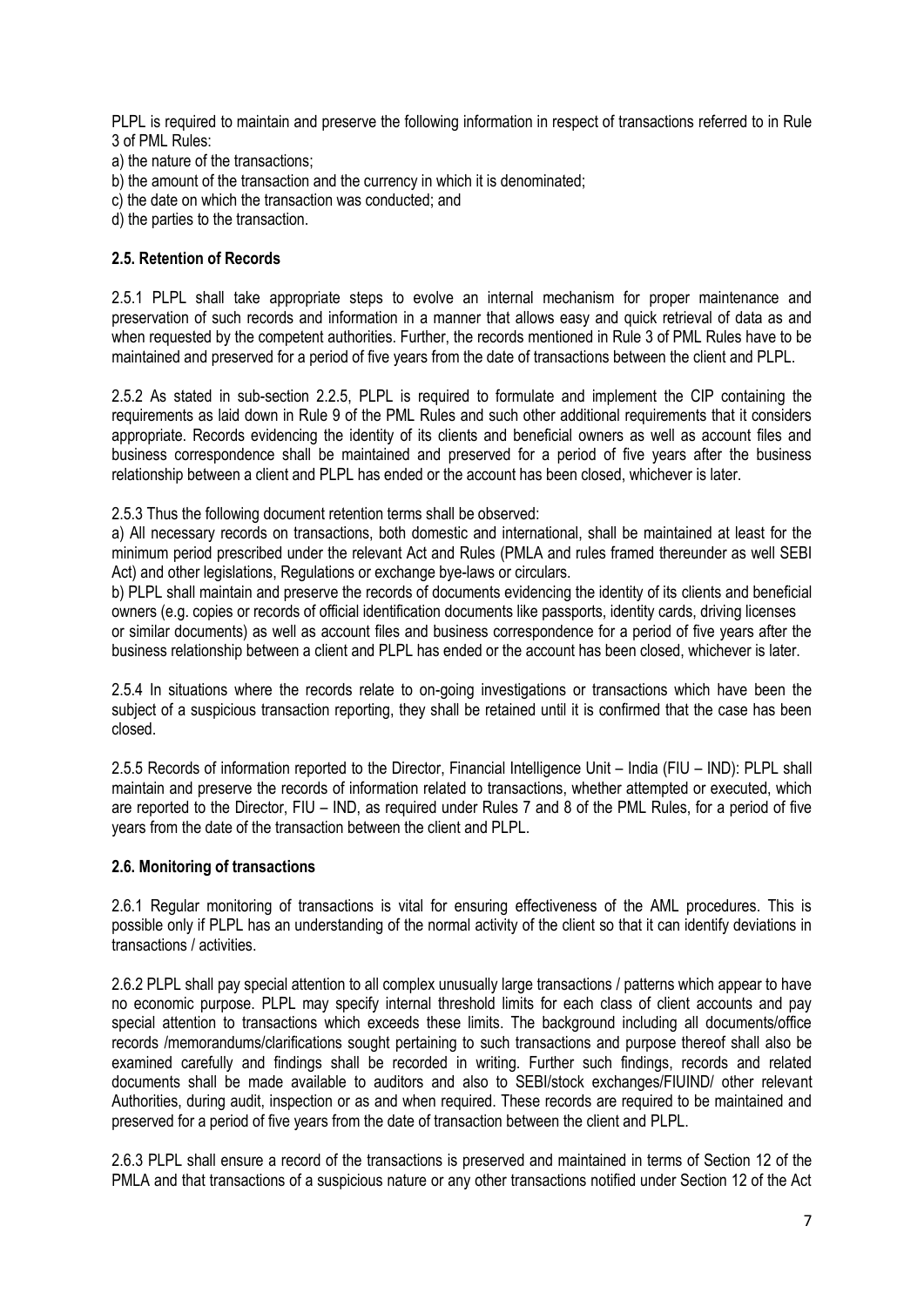PLPL is required to maintain and preserve the following information in respect of transactions referred to in Rule 3 of PML Rules:

a) the nature of the transactions;

- b) the amount of the transaction and the currency in which it is denominated;
- c) the date on which the transaction was conducted; and

d) the parties to the transaction.

## **2.5. Retention of Records**

2.5.1 PLPL shall take appropriate steps to evolve an internal mechanism for proper maintenance and preservation of such records and information in a manner that allows easy and quick retrieval of data as and when requested by the competent authorities. Further, the records mentioned in Rule 3 of PML Rules have to be maintained and preserved for a period of five years from the date of transactions between the client and PLPL.

2.5.2 As stated in sub-section 2.2.5, PLPL is required to formulate and implement the CIP containing the requirements as laid down in Rule 9 of the PML Rules and such other additional requirements that it considers appropriate. Records evidencing the identity of its clients and beneficial owners as well as account files and business correspondence shall be maintained and preserved for a period of five years after the business relationship between a client and PLPL has ended or the account has been closed, whichever is later.

2.5.3 Thus the following document retention terms shall be observed:

a) All necessary records on transactions, both domestic and international, shall be maintained at least for the minimum period prescribed under the relevant Act and Rules (PMLA and rules framed thereunder as well SEBI Act) and other legislations, Regulations or exchange bye-laws or circulars.

b) PLPL shall maintain and preserve the records of documents evidencing the identity of its clients and beneficial owners (e.g. copies or records of official identification documents like passports, identity cards, driving licenses or similar documents) as well as account files and business correspondence for a period of five years after the business relationship between a client and PLPL has ended or the account has been closed, whichever is later.

2.5.4 In situations where the records relate to on-going investigations or transactions which have been the subject of a suspicious transaction reporting, they shall be retained until it is confirmed that the case has been closed.

2.5.5 Records of information reported to the Director, Financial Intelligence Unit – India (FIU – IND): PLPL shall maintain and preserve the records of information related to transactions, whether attempted or executed, which are reported to the Director, FIU – IND, as required under Rules 7 and 8 of the PML Rules, for a period of five years from the date of the transaction between the client and PLPL.

### **2.6. Monitoring of transactions**

2.6.1 Regular monitoring of transactions is vital for ensuring effectiveness of the AML procedures. This is possible only if PLPL has an understanding of the normal activity of the client so that it can identify deviations in transactions / activities.

2.6.2 PLPL shall pay special attention to all complex unusually large transactions / patterns which appear to have no economic purpose. PLPL may specify internal threshold limits for each class of client accounts and pay special attention to transactions which exceeds these limits. The background including all documents/office records /memorandums/clarifications sought pertaining to such transactions and purpose thereof shall also be examined carefully and findings shall be recorded in writing. Further such findings, records and related documents shall be made available to auditors and also to SEBI/stock exchanges/FIUIND/ other relevant Authorities, during audit, inspection or as and when required. These records are required to be maintained and preserved for a period of five years from the date of transaction between the client and PLPL.

2.6.3 PLPL shall ensure a record of the transactions is preserved and maintained in terms of Section 12 of the PMLA and that transactions of a suspicious nature or any other transactions notified under Section 12 of the Act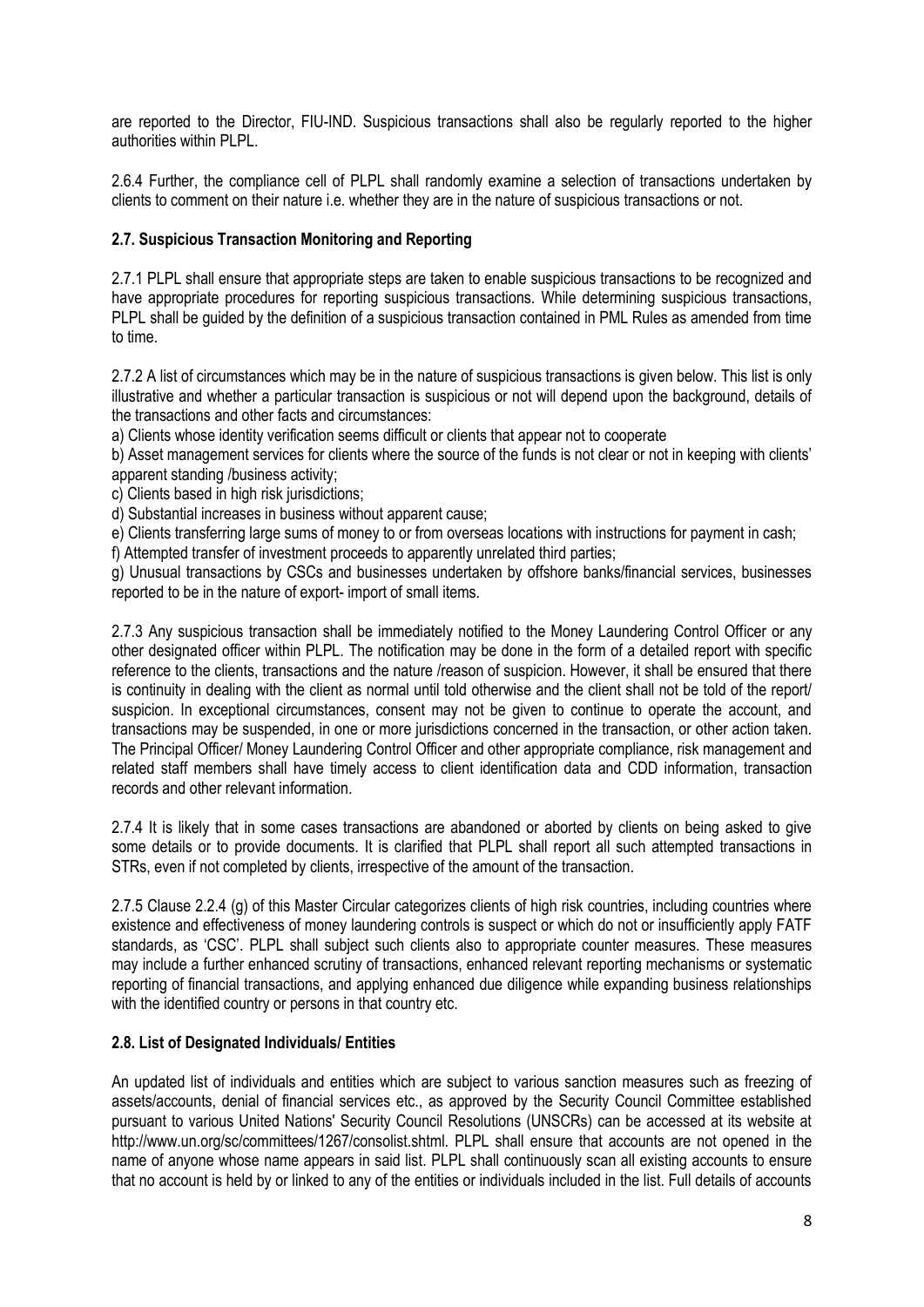are reported to the Director, FIU-IND. Suspicious transactions shall also be regularly reported to the higher authorities within PLPL.

2.6.4 Further, the compliance cell of PLPL shall randomly examine a selection of transactions undertaken by clients to comment on their nature i.e. whether they are in the nature of suspicious transactions or not.

## **2.7. Suspicious Transaction Monitoring and Reporting**

2.7.1 PLPL shall ensure that appropriate steps are taken to enable suspicious transactions to be recognized and have appropriate procedures for reporting suspicious transactions. While determining suspicious transactions, PLPL shall be guided by the definition of a suspicious transaction contained in PML Rules as amended from time to time.

2.7.2 A list of circumstances which may be in the nature of suspicious transactions is given below. This list is only illustrative and whether a particular transaction is suspicious or not will depend upon the background, details of the transactions and other facts and circumstances:

a) Clients whose identity verification seems difficult or clients that appear not to cooperate

b) Asset management services for clients where the source of the funds is not clear or not in keeping with clients' apparent standing /business activity;

c) Clients based in high risk jurisdictions;

d) Substantial increases in business without apparent cause;

e) Clients transferring large sums of money to or from overseas locations with instructions for payment in cash;

f) Attempted transfer of investment proceeds to apparently unrelated third parties;

g) Unusual transactions by CSCs and businesses undertaken by offshore banks/financial services, businesses reported to be in the nature of export- import of small items.

2.7.3 Any suspicious transaction shall be immediately notified to the Money Laundering Control Officer or any other designated officer within PLPL. The notification may be done in the form of a detailed report with specific reference to the clients, transactions and the nature /reason of suspicion. However, it shall be ensured that there is continuity in dealing with the client as normal until told otherwise and the client shall not be told of the report/ suspicion. In exceptional circumstances, consent may not be given to continue to operate the account, and transactions may be suspended, in one or more jurisdictions concerned in the transaction, or other action taken. The Principal Officer/ Money Laundering Control Officer and other appropriate compliance, risk management and related staff members shall have timely access to client identification data and CDD information, transaction records and other relevant information.

2.7.4 It is likely that in some cases transactions are abandoned or aborted by clients on being asked to give some details or to provide documents. It is clarified that PLPL shall report all such attempted transactions in STRs, even if not completed by clients, irrespective of the amount of the transaction.

2.7.5 Clause 2.2.4 (g) of this Master Circular categorizes clients of high risk countries, including countries where existence and effectiveness of money laundering controls is suspect or which do not or insufficiently apply FATF standards, as 'CSC'. PLPL shall subject such clients also to appropriate counter measures. These measures may include a further enhanced scrutiny of transactions, enhanced relevant reporting mechanisms or systematic reporting of financial transactions, and applying enhanced due diligence while expanding business relationships with the identified country or persons in that country etc.

### **2.8. List of Designated Individuals/ Entities**

An updated list of individuals and entities which are subject to various sanction measures such as freezing of assets/accounts, denial of financial services etc., as approved by the Security Council Committee established pursuant to various United Nations' Security Council Resolutions (UNSCRs) can be accessed at its website at http://www.un.org/sc/committees/1267/consolist.shtml. PLPL shall ensure that accounts are not opened in the name of anyone whose name appears in said list. PLPL shall continuously scan all existing accounts to ensure that no account is held by or linked to any of the entities or individuals included in the list. Full details of accounts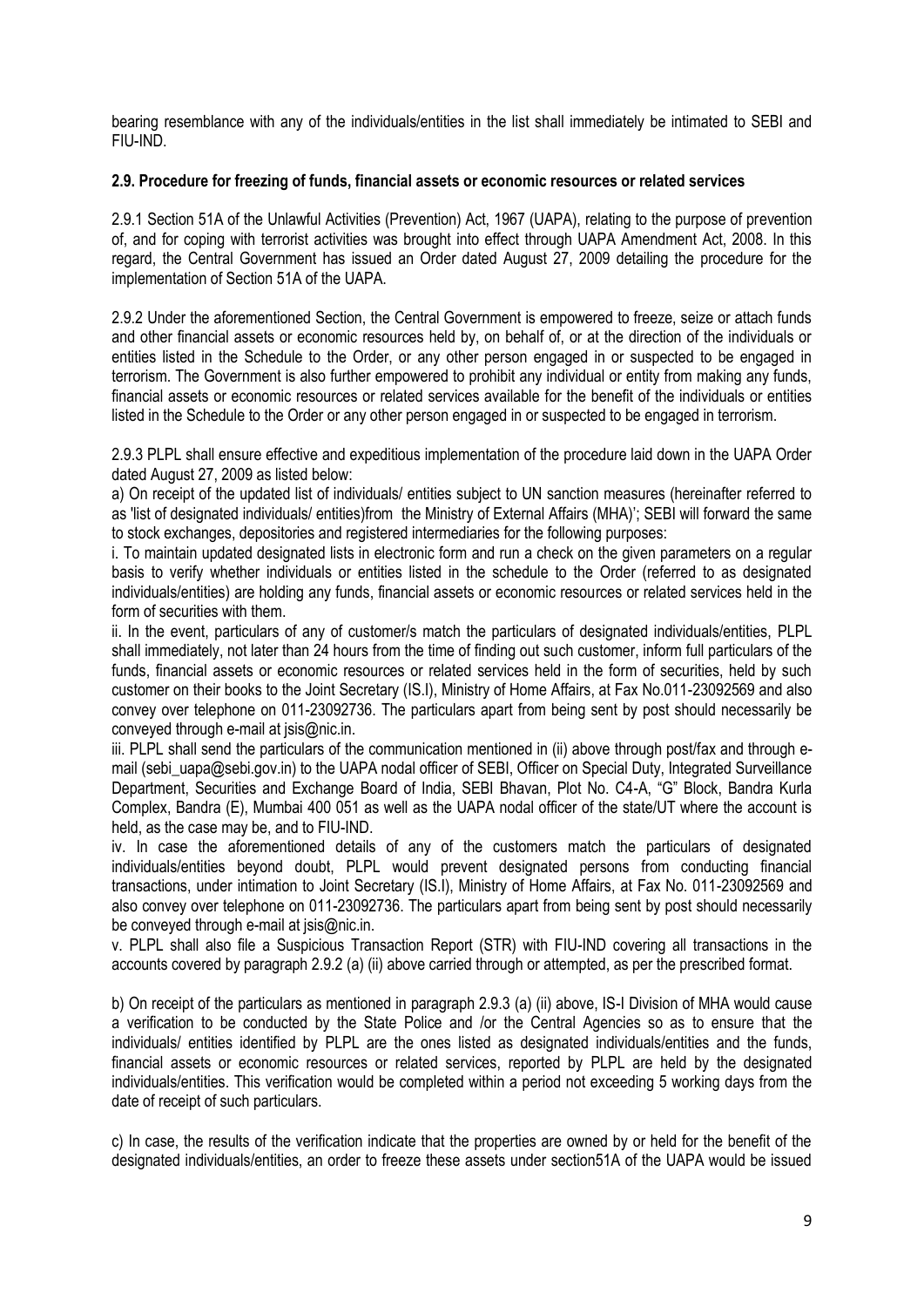bearing resemblance with any of the individuals/entities in the list shall immediately be intimated to SEBI and FIU-IND.

### **2.9. Procedure for freezing of funds, financial assets or economic resources or related services**

2.9.1 Section 51A of the Unlawful Activities (Prevention) Act, 1967 (UAPA), relating to the purpose of prevention of, and for coping with terrorist activities was brought into effect through UAPA Amendment Act, 2008. In this regard, the Central Government has issued an Order dated August 27, 2009 detailing the procedure for the implementation of Section 51A of the UAPA.

2.9.2 Under the aforementioned Section, the Central Government is empowered to freeze, seize or attach funds and other financial assets or economic resources held by, on behalf of, or at the direction of the individuals or entities listed in the Schedule to the Order, or any other person engaged in or suspected to be engaged in terrorism. The Government is also further empowered to prohibit any individual or entity from making any funds, financial assets or economic resources or related services available for the benefit of the individuals or entities listed in the Schedule to the Order or any other person engaged in or suspected to be engaged in terrorism.

2.9.3 PLPL shall ensure effective and expeditious implementation of the procedure laid down in the UAPA Order dated August 27, 2009 as listed below:

a) On receipt of the updated list of individuals/ entities subject to UN sanction measures (hereinafter referred to as 'list of designated individuals/ entities)from the Ministry of External Affairs (MHA)'; SEBI will forward the same to stock exchanges, depositories and registered intermediaries for the following purposes:

i. To maintain updated designated lists in electronic form and run a check on the given parameters on a regular basis to verify whether individuals or entities listed in the schedule to the Order (referred to as designated individuals/entities) are holding any funds, financial assets or economic resources or related services held in the form of securities with them.

ii. In the event, particulars of any of customer/s match the particulars of designated individuals/entities, PLPL shall immediately, not later than 24 hours from the time of finding out such customer, inform full particulars of the funds, financial assets or economic resources or related services held in the form of securities, held by such customer on their books to the Joint Secretary (IS.I), Ministry of Home Affairs, at Fax No.011-23092569 and also convey over telephone on 011-23092736. The particulars apart from being sent by post should necessarily be conveyed through e-mail at jsis@nic.in.

iii. PLPL shall send the particulars of the communication mentioned in (ii) above through post/fax and through email (sebi\_uapa@sebi.gov.in) to the UAPA nodal officer of SEBI, Officer on Special Duty, Integrated Surveillance Department, Securities and Exchange Board of India, SEBI Bhavan, Plot No. C4-A, "G" Block, Bandra Kurla Complex, Bandra (E), Mumbai 400 051 as well as the UAPA nodal officer of the state/UT where the account is held, as the case may be, and to FIU-IND.

iv. In case the aforementioned details of any of the customers match the particulars of designated individuals/entities beyond doubt, PLPL would prevent designated persons from conducting financial transactions, under intimation to Joint Secretary (IS.I), Ministry of Home Affairs, at Fax No. 011-23092569 and also convey over telephone on 011-23092736. The particulars apart from being sent by post should necessarily be conveyed through e-mail at jsis@nic.in.

v. PLPL shall also file a Suspicious Transaction Report (STR) with FIU-IND covering all transactions in the accounts covered by paragraph 2.9.2 (a) (ii) above carried through or attempted, as per the prescribed format.

b) On receipt of the particulars as mentioned in paragraph 2.9.3 (a) (ii) above, IS-I Division of MHA would cause a verification to be conducted by the State Police and /or the Central Agencies so as to ensure that the individuals/ entities identified by PLPL are the ones listed as designated individuals/entities and the funds, financial assets or economic resources or related services, reported by PLPL are held by the designated individuals/entities. This verification would be completed within a period not exceeding 5 working days from the date of receipt of such particulars.

c) In case, the results of the verification indicate that the properties are owned by or held for the benefit of the designated individuals/entities, an order to freeze these assets under section51A of the UAPA would be issued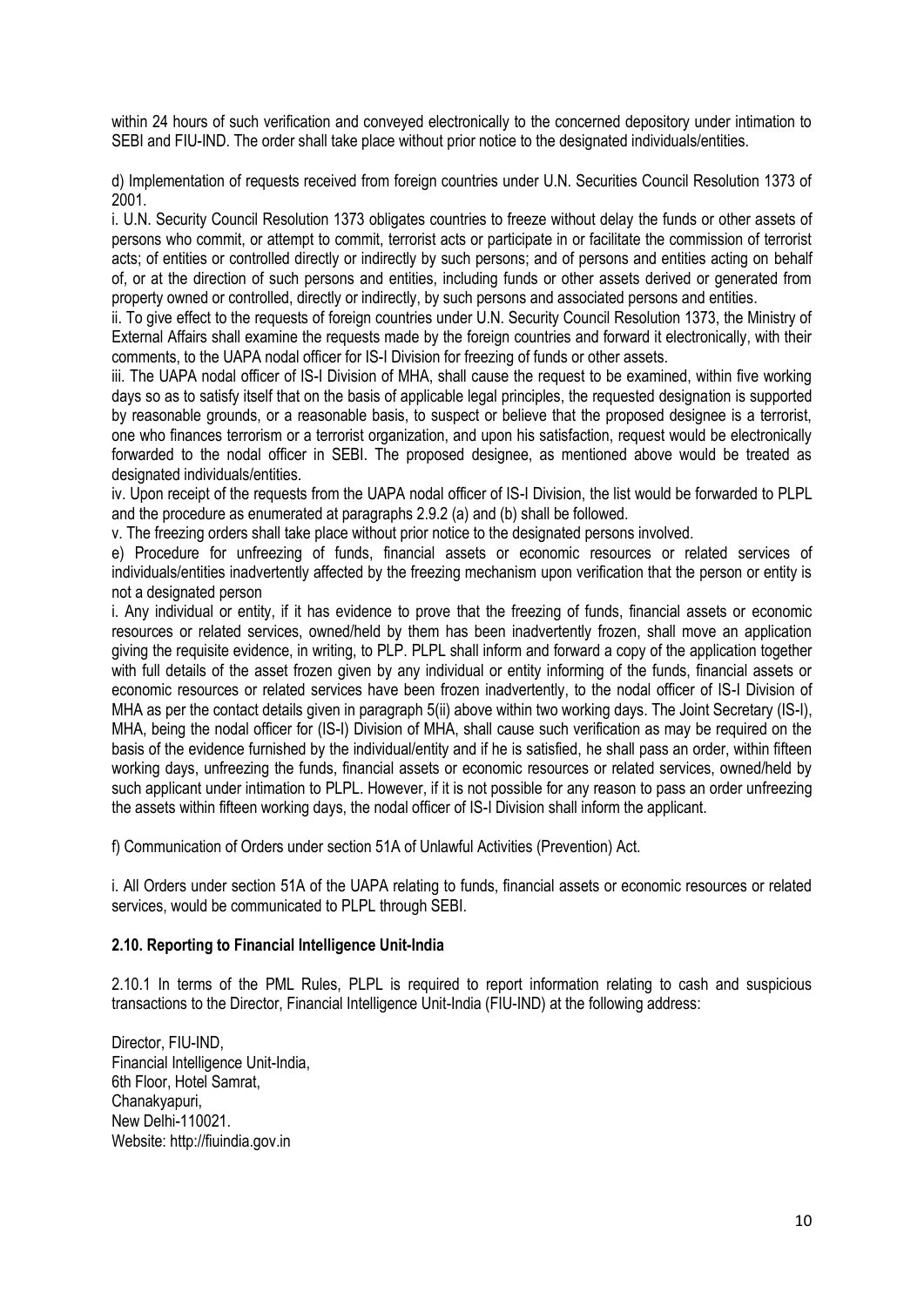within 24 hours of such verification and conveyed electronically to the concerned depository under intimation to SEBI and FIU-IND. The order shall take place without prior notice to the designated individuals/entities.

d) Implementation of requests received from foreign countries under U.N. Securities Council Resolution 1373 of 2001.

i. U.N. Security Council Resolution 1373 obligates countries to freeze without delay the funds or other assets of persons who commit, or attempt to commit, terrorist acts or participate in or facilitate the commission of terrorist acts; of entities or controlled directly or indirectly by such persons; and of persons and entities acting on behalf of, or at the direction of such persons and entities, including funds or other assets derived or generated from property owned or controlled, directly or indirectly, by such persons and associated persons and entities.

ii. To give effect to the requests of foreign countries under U.N. Security Council Resolution 1373, the Ministry of External Affairs shall examine the requests made by the foreign countries and forward it electronically, with their comments, to the UAPA nodal officer for IS-I Division for freezing of funds or other assets.

iii. The UAPA nodal officer of IS-I Division of MHA, shall cause the request to be examined, within five working days so as to satisfy itself that on the basis of applicable legal principles, the requested designation is supported by reasonable grounds, or a reasonable basis, to suspect or believe that the proposed designee is a terrorist, one who finances terrorism or a terrorist organization, and upon his satisfaction, request would be electronically forwarded to the nodal officer in SEBI. The proposed designee, as mentioned above would be treated as designated individuals/entities.

iv. Upon receipt of the requests from the UAPA nodal officer of IS-I Division, the list would be forwarded to PLPL and the procedure as enumerated at paragraphs 2.9.2 (a) and (b) shall be followed.

v. The freezing orders shall take place without prior notice to the designated persons involved.

e) Procedure for unfreezing of funds, financial assets or economic resources or related services of individuals/entities inadvertently affected by the freezing mechanism upon verification that the person or entity is not a designated person

i. Any individual or entity, if it has evidence to prove that the freezing of funds, financial assets or economic resources or related services, owned/held by them has been inadvertently frozen, shall move an application giving the requisite evidence, in writing, to PLP. PLPL shall inform and forward a copy of the application together with full details of the asset frozen given by any individual or entity informing of the funds, financial assets or economic resources or related services have been frozen inadvertently, to the nodal officer of IS-I Division of MHA as per the contact details given in paragraph 5(ii) above within two working days. The Joint Secretary (IS-I), MHA, being the nodal officer for (IS-I) Division of MHA, shall cause such verification as may be required on the basis of the evidence furnished by the individual/entity and if he is satisfied, he shall pass an order, within fifteen working days, unfreezing the funds, financial assets or economic resources or related services, owned/held by such applicant under intimation to PLPL. However, if it is not possible for any reason to pass an order unfreezing the assets within fifteen working days, the nodal officer of IS-I Division shall inform the applicant.

f) Communication of Orders under section 51A of Unlawful Activities (Prevention) Act.

i. All Orders under section 51A of the UAPA relating to funds, financial assets or economic resources or related services, would be communicated to PLPL through SEBI.

### **2.10. Reporting to Financial Intelligence Unit-India**

2.10.1 In terms of the PML Rules, PLPL is required to report information relating to cash and suspicious transactions to the Director, Financial Intelligence Unit-India (FIU-IND) at the following address:

Director, FIU-IND, Financial Intelligence Unit-India, 6th Floor, Hotel Samrat, Chanakyapuri, New Delhi-110021. Website: http://fiuindia.gov.in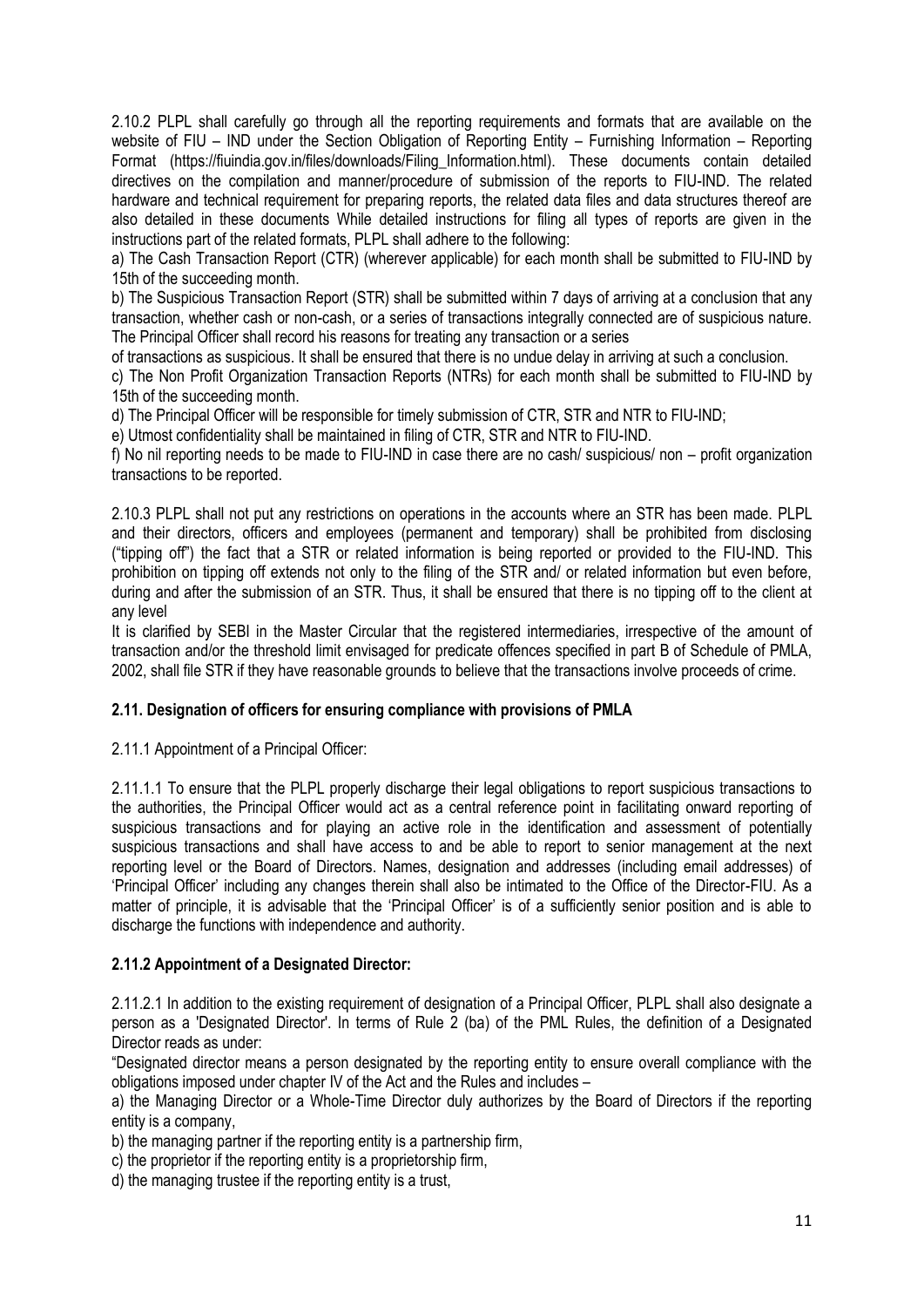2.10.2 PLPL shall carefully go through all the reporting requirements and formats that are available on the website of FIU – IND under the Section Obligation of Reporting Entity – Furnishing Information – Reporting Format (https://fiuindia.gov.in/files/downloads/Filing\_Information.html). These documents contain detailed directives on the compilation and manner/procedure of submission of the reports to FIU-IND. The related hardware and technical requirement for preparing reports, the related data files and data structures thereof are also detailed in these documents While detailed instructions for filing all types of reports are given in the instructions part of the related formats, PLPL shall adhere to the following:

a) The Cash Transaction Report (CTR) (wherever applicable) for each month shall be submitted to FIU-IND by 15th of the succeeding month.

b) The Suspicious Transaction Report (STR) shall be submitted within 7 days of arriving at a conclusion that any transaction, whether cash or non-cash, or a series of transactions integrally connected are of suspicious nature. The Principal Officer shall record his reasons for treating any transaction or a series

of transactions as suspicious. It shall be ensured that there is no undue delay in arriving at such a conclusion.

c) The Non Profit Organization Transaction Reports (NTRs) for each month shall be submitted to FIU-IND by 15th of the succeeding month.

d) The Principal Officer will be responsible for timely submission of CTR, STR and NTR to FIU-IND;

e) Utmost confidentiality shall be maintained in filing of CTR, STR and NTR to FIU-IND.

f) No nil reporting needs to be made to FIU-IND in case there are no cash/ suspicious/ non – profit organization transactions to be reported.

2.10.3 PLPL shall not put any restrictions on operations in the accounts where an STR has been made. PLPL and their directors, officers and employees (permanent and temporary) shall be prohibited from disclosing ("tipping off") the fact that a STR or related information is being reported or provided to the FIU-IND. This prohibition on tipping off extends not only to the filing of the STR and/ or related information but even before, during and after the submission of an STR. Thus, it shall be ensured that there is no tipping off to the client at any level

It is clarified by SEBI in the Master Circular that the registered intermediaries, irrespective of the amount of transaction and/or the threshold limit envisaged for predicate offences specified in part B of Schedule of PMLA, 2002, shall file STR if they have reasonable grounds to believe that the transactions involve proceeds of crime.

### **2.11. Designation of officers for ensuring compliance with provisions of PMLA**

2.11.1 Appointment of a Principal Officer:

2.11.1.1 To ensure that the PLPL properly discharge their legal obligations to report suspicious transactions to the authorities, the Principal Officer would act as a central reference point in facilitating onward reporting of suspicious transactions and for playing an active role in the identification and assessment of potentially suspicious transactions and shall have access to and be able to report to senior management at the next reporting level or the Board of Directors. Names, designation and addresses (including email addresses) of 'Principal Officer' including any changes therein shall also be intimated to the Office of the Director-FIU. As a matter of principle, it is advisable that the 'Principal Officer' is of a sufficiently senior position and is able to discharge the functions with independence and authority.

### **2.11.2 Appointment of a Designated Director:**

2.11.2.1 In addition to the existing requirement of designation of a Principal Officer, PLPL shall also designate a person as a 'Designated Director'. In terms of Rule 2 (ba) of the PML Rules, the definition of a Designated Director reads as under:

"Designated director means a person designated by the reporting entity to ensure overall compliance with the obligations imposed under chapter IV of the Act and the Rules and includes –

a) the Managing Director or a Whole-Time Director duly authorizes by the Board of Directors if the reporting entity is a company,

b) the managing partner if the reporting entity is a partnership firm,

c) the proprietor if the reporting entity is a proprietorship firm,

d) the managing trustee if the reporting entity is a trust,